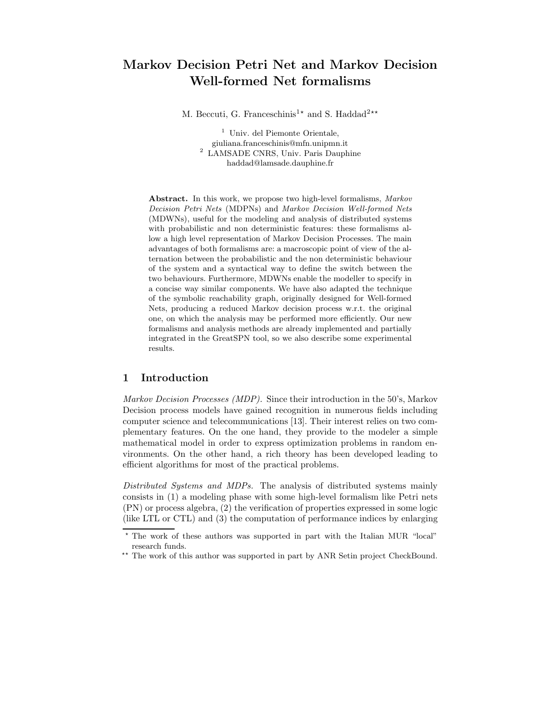# Markov Decision Petri Net and Markov Decision Well-formed Net formalisms

M. Beccuti, G. Franceschinis<sup>1\*</sup> and S. Haddad<sup>2\*\*</sup>

<sup>1</sup> Univ. del Piemonte Orientale, giuliana.franceschinis@mfn.unipmn.it <sup>2</sup> LAMSADE CNRS, Univ. Paris Dauphine haddad@lamsade.dauphine.fr

Abstract. In this work, we propose two high-level formalisms, Markov Decision Petri Nets (MDPNs) and Markov Decision Well-formed Nets (MDWNs), useful for the modeling and analysis of distributed systems with probabilistic and non deterministic features: these formalisms allow a high level representation of Markov Decision Processes. The main advantages of both formalisms are: a macroscopic point of view of the alternation between the probabilistic and the non deterministic behaviour of the system and a syntactical way to define the switch between the two behaviours. Furthermore, MDWNs enable the modeller to specify in a concise way similar components. We have also adapted the technique of the symbolic reachability graph, originally designed for Well-formed Nets, producing a reduced Markov decision process w.r.t. the original one, on which the analysis may be performed more efficiently. Our new formalisms and analysis methods are already implemented and partially integrated in the GreatSPN tool, so we also describe some experimental results.

# 1 Introduction

Markov Decision Processes (MDP). Since their introduction in the 50's, Markov Decision process models have gained recognition in numerous fields including computer science and telecommunications [13]. Their interest relies on two complementary features. On the one hand, they provide to the modeler a simple mathematical model in order to express optimization problems in random environments. On the other hand, a rich theory has been developed leading to efficient algorithms for most of the practical problems.

Distributed Systems and MDPs. The analysis of distributed systems mainly consists in (1) a modeling phase with some high-level formalism like Petri nets (PN) or process algebra, (2) the verification of properties expressed in some logic (like LTL or CTL) and (3) the computation of performance indices by enlarging

<sup>?</sup> The work of these authors was supported in part with the Italian MUR "local" research funds.

<sup>\*\*</sup> The work of this author was supported in part by ANR Setin project CheckBound.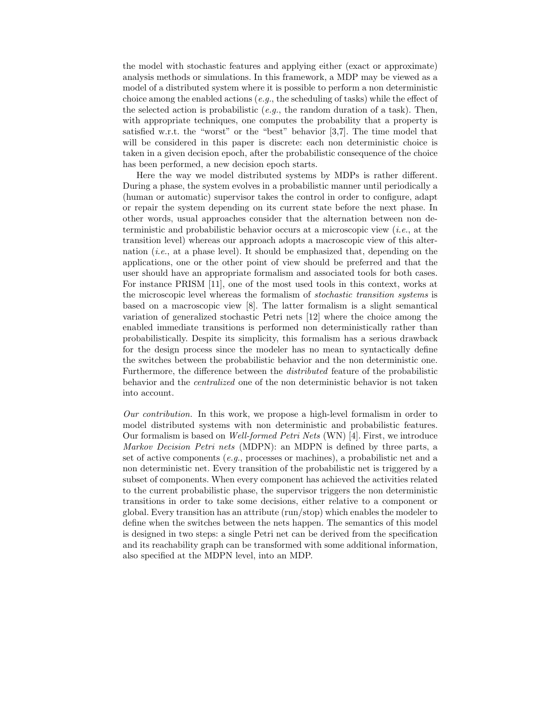the model with stochastic features and applying either (exact or approximate) analysis methods or simulations. In this framework, a MDP may be viewed as a model of a distributed system where it is possible to perform a non deterministic choice among the enabled actions (e.g., the scheduling of tasks) while the effect of the selected action is probabilistic  $(e.g.,\)$  the random duration of a task). Then, with appropriate techniques, one computes the probability that a property is satisfied w.r.t. the "worst" or the "best" behavior [3,7]. The time model that will be considered in this paper is discrete: each non deterministic choice is taken in a given decision epoch, after the probabilistic consequence of the choice has been performed, a new decision epoch starts.

Here the way we model distributed systems by MDPs is rather different. During a phase, the system evolves in a probabilistic manner until periodically a (human or automatic) supervisor takes the control in order to configure, adapt or repair the system depending on its current state before the next phase. In other words, usual approaches consider that the alternation between non deterministic and probabilistic behavior occurs at a microscopic view (i.e., at the transition level) whereas our approach adopts a macroscopic view of this alternation (*i.e.*, at a phase level). It should be emphasized that, depending on the applications, one or the other point of view should be preferred and that the user should have an appropriate formalism and associated tools for both cases. For instance PRISM [11], one of the most used tools in this context, works at the microscopic level whereas the formalism of stochastic transition systems is based on a macroscopic view [8]. The latter formalism is a slight semantical variation of generalized stochastic Petri nets [12] where the choice among the enabled immediate transitions is performed non deterministically rather than probabilistically. Despite its simplicity, this formalism has a serious drawback for the design process since the modeler has no mean to syntactically define the switches between the probabilistic behavior and the non deterministic one. Furthermore, the difference between the distributed feature of the probabilistic behavior and the centralized one of the non deterministic behavior is not taken into account.

Our contribution. In this work, we propose a high-level formalism in order to model distributed systems with non deterministic and probabilistic features. Our formalism is based on Well-formed Petri Nets (WN) [4]. First, we introduce Markov Decision Petri nets (MDPN): an MDPN is defined by three parts, a set of active components (e.g., processes or machines), a probabilistic net and a non deterministic net. Every transition of the probabilistic net is triggered by a subset of components. When every component has achieved the activities related to the current probabilistic phase, the supervisor triggers the non deterministic transitions in order to take some decisions, either relative to a component or global. Every transition has an attribute (run/stop) which enables the modeler to define when the switches between the nets happen. The semantics of this model is designed in two steps: a single Petri net can be derived from the specification and its reachability graph can be transformed with some additional information, also specified at the MDPN level, into an MDP.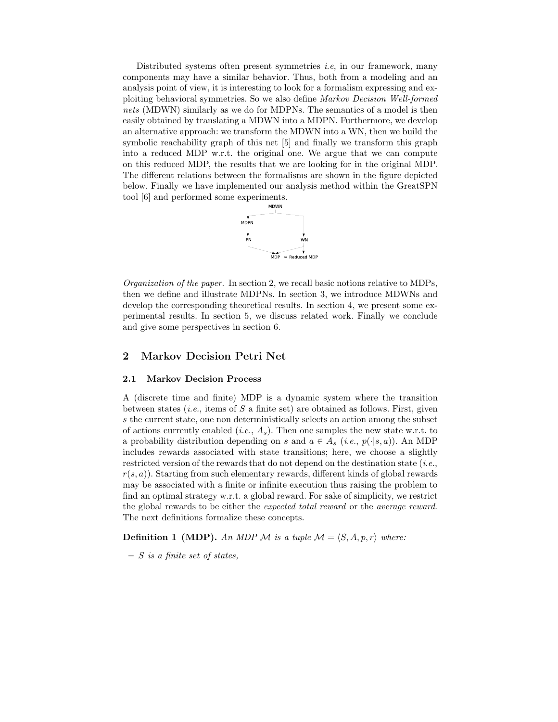Distributed systems often present symmetries i.e, in our framework, many components may have a similar behavior. Thus, both from a modeling and an analysis point of view, it is interesting to look for a formalism expressing and exploiting behavioral symmetries. So we also define Markov Decision Well-formed nets (MDWN) similarly as we do for MDPNs. The semantics of a model is then easily obtained by translating a MDWN into a MDPN. Furthermore, we develop an alternative approach: we transform the MDWN into a WN, then we build the symbolic reachability graph of this net [5] and finally we transform this graph into a reduced MDP w.r.t. the original one. We argue that we can compute on this reduced MDP, the results that we are looking for in the original MDP. The different relations between the formalisms are shown in the figure depicted below. Finally we have implemented our analysis method within the GreatSPN tool [6] and performed some experiments.



Organization of the paper. In section 2, we recall basic notions relative to MDPs, then we define and illustrate MDPNs. In section 3, we introduce MDWNs and develop the corresponding theoretical results. In section 4, we present some experimental results. In section 5, we discuss related work. Finally we conclude and give some perspectives in section 6.

## 2 Markov Decision Petri Net

### 2.1 Markov Decision Process

A (discrete time and finite) MDP is a dynamic system where the transition between states (*i.e.*, items of S a finite set) are obtained as follows. First, given s the current state, one non deterministically selects an action among the subset of actions currently enabled (*i.e.*,  $A_s$ ). Then one samples the new state w.r.t. to a probability distribution depending on s and  $a \in A_s$  (*i.e.*,  $p(\cdot|s, a)$ ). An MDP includes rewards associated with state transitions; here, we choose a slightly restricted version of the rewards that do not depend on the destination state  $(i.e.,$  $r(s, a)$ ). Starting from such elementary rewards, different kinds of global rewards may be associated with a finite or infinite execution thus raising the problem to find an optimal strategy w.r.t. a global reward. For sake of simplicity, we restrict the global rewards to be either the expected total reward or the average reward. The next definitions formalize these concepts.

**Definition 1 (MDP).** An MDP M is a tuple  $M = \langle S, A, p, r \rangle$  where:

 $- S$  is a finite set of states,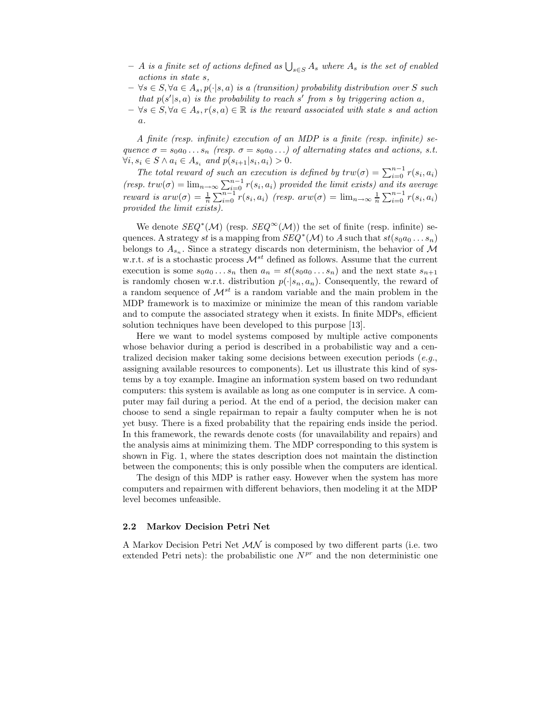- $-$  A is a finite set of actions defined as  $\bigcup_{s\in S} A_s$  where  $A_s$  is the set of enabled actions in state s,
- $-\forall s \in S, \forall a \in A_s, p(\cdot|s, a)$  is a (transition) probability distribution over S such that  $p(s'|s, a)$  is the probability to reach s' from s by triggering action a,
- $-\forall s \in S, \forall a \in A_s, r(s, a) \in \mathbb{R}$  is the reward associated with state s and action a.

A finite (resp. infinite) execution of an MDP is a finite (resp. infinite) sequence  $\sigma = s_0 a_0 \dots s_n$  (resp.  $\sigma = s_0 a_0 \dots$ ) of alternating states and actions, s.t.  $\forall i, s_i \in S \land a_i \in A_{s_i}$  and  $p(s_{i+1}|s_i, a_i) > 0$ .

The total reward of such an execution is defined by  $trw(\sigma) = \sum_{i=0}^{n-1} r(s_i, a_i)$ (resp. trw( $\sigma$ ) =  $\lim_{n\to\infty} \sum_{i=0}^{n-1} r(s_i, a_i)$  provided the limit exists) and its average reward is  $arw(\sigma) = \frac{1}{n} \sum_{i=0}^{n-1} r(s_i, a_i)$  (resp.  $arw(\sigma) = \lim_{n \to \infty} \frac{1}{n} \sum_{i=0}^{n-1} r(s_i, a_i)$ provided the limit exists).

We denote  $SEQ^*(\mathcal{M})$  (resp.  $SEQ^{\infty}(\mathcal{M})$ ) the set of finite (resp. infinite) sequences. A strategy st is a mapping from  $SEQ^*(\mathcal{M})$  to A such that  $st(s_0a_0...s_n)$ belongs to  $A_{s_n}$ . Since a strategy discards non determinism, the behavior of  $\mathcal M$ w.r.t. st is a stochastic process  $\mathcal{M}^{st}$  defined as follows. Assume that the current execution is some  $s_0a_0...s_n$  then  $a_n = st(s_0a_0...s_n)$  and the next state  $s_{n+1}$ is randomly chosen w.r.t. distribution  $p(\cdot|s_n, a_n)$ . Consequently, the reward of a random sequence of  $\mathcal{M}^{st}$  is a random variable and the main problem in the MDP framework is to maximize or minimize the mean of this random variable and to compute the associated strategy when it exists. In finite MDPs, efficient solution techniques have been developed to this purpose [13].

Here we want to model systems composed by multiple active components whose behavior during a period is described in a probabilistic way and a centralized decision maker taking some decisions between execution periods (e.g., assigning available resources to components). Let us illustrate this kind of systems by a toy example. Imagine an information system based on two redundant computers: this system is available as long as one computer is in service. A computer may fail during a period. At the end of a period, the decision maker can choose to send a single repairman to repair a faulty computer when he is not yet busy. There is a fixed probability that the repairing ends inside the period. In this framework, the rewards denote costs (for unavailability and repairs) and the analysis aims at minimizing them. The MDP corresponding to this system is shown in Fig. 1, where the states description does not maintain the distinction between the components; this is only possible when the computers are identical.

The design of this MDP is rather easy. However when the system has more computers and repairmen with different behaviors, then modeling it at the MDP level becomes unfeasible.

### 2.2 Markov Decision Petri Net

A Markov Decision Petri Net  $MN$  is composed by two different parts (i.e. two extended Petri nets): the probabilistic one  $N^{pr}$  and the non deterministic one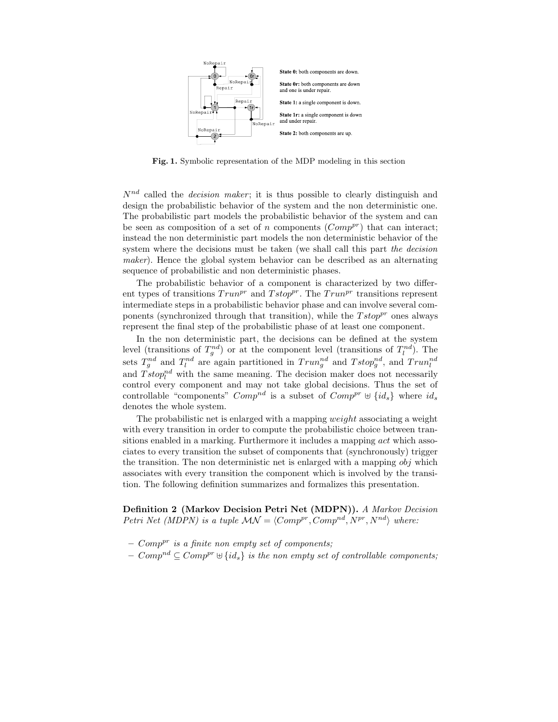

Fig. 1. Symbolic representation of the MDP modeling in this section

 $N^{nd}$  called the *decision maker*; it is thus possible to clearly distinguish and design the probabilistic behavior of the system and the non deterministic one. The probabilistic part models the probabilistic behavior of the system and can be seen as composition of a set of n components  $(Comp^{pr})$  that can interact; instead the non deterministic part models the non deterministic behavior of the system where the decisions must be taken (we shall call this part the decision maker). Hence the global system behavior can be described as an alternating sequence of probabilistic and non deterministic phases.

The probabilistic behavior of a component is characterized by two different types of transitions  $Trun^{pr}$  and  $Tstop^{pr}$ . The  $Trun^{pr}$  transitions represent intermediate steps in a probabilistic behavior phase and can involve several components (synchronized through that transition), while the  $Tstop^{pr}$  ones always represent the final step of the probabilistic phase of at least one component.

In the non deterministic part, the decisions can be defined at the system level (transitions of  $T_g^{nd}$ ) or at the component level (transitions of  $T_l^{nd}$ ). The sets  $T_g^{nd}$  and  $T_l^{nd}$  are again partitioned in  $Trun_g^{nd}$  and  $Tstop_g^{nd}$ , and  $Trun_l^{nd}$ and  $Tstop_l^{nd}$  with the same meaning. The decision maker does not necessarily control every component and may not take global decisions. Thus the set of controllable "components"  $Comp^{nd}$  is a subset of  $Comp^{pr} \oplus \{id_s\}$  where  $id_s$ denotes the whole system.

The probabilistic net is enlarged with a mapping weight associating a weight with every transition in order to compute the probabilistic choice between transitions enabled in a marking. Furthermore it includes a mapping  $act$  which associates to every transition the subset of components that (synchronously) trigger the transition. The non deterministic net is enlarged with a mapping  $obj$  which associates with every transition the component which is involved by the transition. The following definition summarizes and formalizes this presentation.

Definition 2 (Markov Decision Petri Net (MDPN)). A Markov Decision Petri Net (MDPN) is a tuple  $\mathcal{MN} = \langle Comp^{pr}, Comp^{nd}, N^{pr}, N^{nd} \rangle$  where:

- $Comp<sup>pr</sup>$  is a finite non empty set of components;
- $Comp^{nd} ⊆ Comp^{pr} \oplus \{id_s\}$  is the non empty set of controllable components;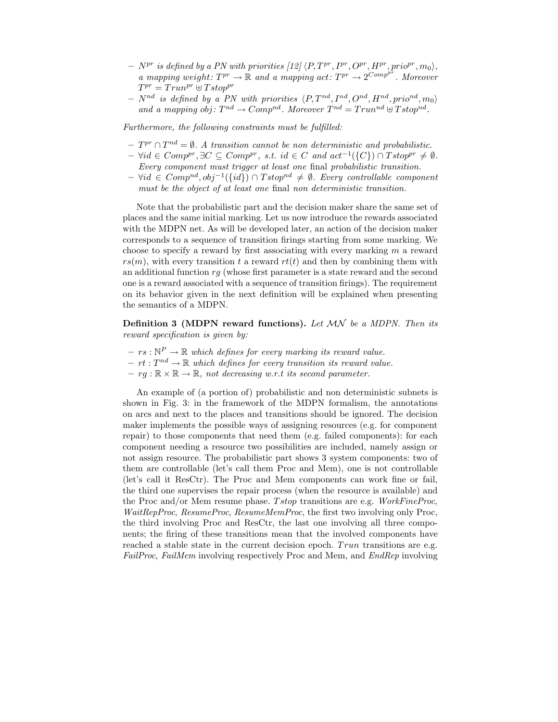- $N^{pr}$  is defined by a PN with priorities [12]  $\langle P, T^{pr}, I^{pr}, O^{pr}, H^{pr}, prio^{pr}, m_0 \rangle$ , a mapping weight:  $T^{pr} \to \mathbb{R}$  and a mapping act:  $T^{pr} \to 2^{Comp^{pr}}$ . Moreover  $T^{pr} = Trun^{pr} \oplus Tstop^{pr}$
- $N^{nd}$  is defined by a PN with priorities  $\langle P, T^{nd}, I^{nd}, O^{nd}, H^{nd}, prio^{nd}, m_0 \rangle$ and a mapping obj:  $T^{nd} \to Comp^{nd}$ . Moreover  $T^{nd} = Trun^{nd} \oplus Tstop^{nd}$ .

Furthermore, the following constraints must be fulfilled:

- $-T^{pr} \cap T^{nd} = \emptyset$ . A transition cannot be non deterministic and probabilistic.
- $\forall id \in Comp^{pr}, \exists C \subseteq Comp^{pr}, s.t. \ id \in C \ and \ act^{-1}(\{C\}) \cap Tstop^{pr} \neq \emptyset.$ Every component must trigger at least one final probabilistic transition.
- $-$  ∀id ∈  $Comp^{nd}, obj^{-1}(\lbrace id \rbrace) \cap Tstop^{nd} \neq \emptyset$ . Every controllable component must be the object of at least one final non deterministic transition.

Note that the probabilistic part and the decision maker share the same set of places and the same initial marking. Let us now introduce the rewards associated with the MDPN net. As will be developed later, an action of the decision maker corresponds to a sequence of transition firings starting from some marking. We choose to specify a reward by first associating with every marking  $m$  a reward  $rs(m)$ , with every transition t a reward  $rt(t)$  and then by combining them with an additional function  $rg$  (whose first parameter is a state reward and the second one is a reward associated with a sequence of transition firings). The requirement on its behavior given in the next definition will be explained when presenting the semantics of a MDPN.

Definition 3 (MDPN reward functions). Let  $MN$  be a MDPN. Then its reward specification is given by:

- $-rs:\mathbb{N}^P\to\mathbb{R}$  which defines for every marking its reward value.
- $-rt: T^{nd} \to \mathbb{R}$  which defines for every transition its reward value.
- $r q : \mathbb{R} \times \mathbb{R} \to \mathbb{R}$ , not decreasing w.r.t its second parameter.

An example of (a portion of) probabilistic and non deterministic subnets is shown in Fig. 3: in the framework of the MDPN formalism, the annotations on arcs and next to the places and transitions should be ignored. The decision maker implements the possible ways of assigning resources (e.g. for component repair) to those components that need them (e.g. failed components): for each component needing a resource two possibilities are included, namely assign or not assign resource. The probabilistic part shows 3 system components: two of them are controllable (let's call them Proc and Mem), one is not controllable (let's call it ResCtr). The Proc and Mem components can work fine or fail, the third one supervises the repair process (when the resource is available) and the Proc and/or Mem resume phase. Tstop transitions are e.g. WorkFineProc, WaitRepProc, ResumeProc, ResumeMemProc, the first two involving only Proc, the third involving Proc and ResCtr, the last one involving all three components; the firing of these transitions mean that the involved components have reached a stable state in the current decision epoch. Trun transitions are e.g. FailProc, FailMem involving respectively Proc and Mem, and EndRep involving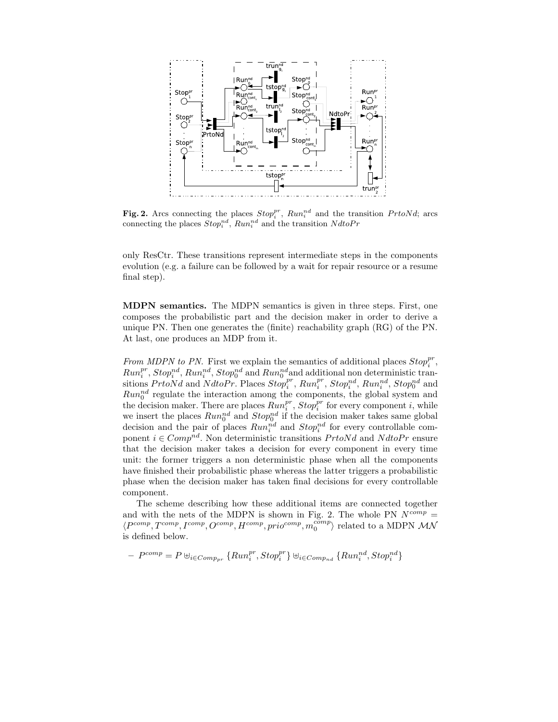

Fig. 2. Arcs connecting the places  $Stop_i^{pr}$ ,  $Run_i^{nd}$  and the transition  $ProtoNd$ ; arcs connecting the places  $Stop_i^{nd}$ ,  $Run_i^{nd}$  and the transition  $NdtoPr$ 

only ResCtr. These transitions represent intermediate steps in the components evolution (e.g. a failure can be followed by a wait for repair resource or a resume final step).

MDPN semantics. The MDPN semantics is given in three steps. First, one composes the probabilistic part and the decision maker in order to derive a unique PN. Then one generates the (finite) reachability graph (RG) of the PN. At last, one produces an MDP from it.

From MDPN to PN. First we explain the semantics of additional places  $Stop_i^{pr}$ ,  $Run_i^{pr}, Stop_i^{nd}, Run_i^{nd}, Stop_0^{nd}$  and  $Run_0^{nd}$  and additional non deterministic transitions  $PrtoNd$  and  $NdtoPr$ . Places  $Stop_i^{pr}$ ,  $Run_i^{pr}$ ,  $Stop_i^{nd}$ ,  $Run_i^{nd}$ ,  $Stop_0^{nd}$  and  $Run_0^{nd}$  regulate the interaction among the components, the global system and the decision maker. There are places  $\overline{Run}_i^{pr}$ ,  $Stop_i^{pr}$  for every component i, while we insert the places  $Run_0^{nd}$  and  $Stop_0^{nd}$  if the decision maker takes same global decision and the pair of places  $Run_i^{nd}$  and  $Stop_i^{nd}$  for every controllable component  $i \in Comp^{nd}$ . Non deterministic transitions  $PrtoNd$  and  $NdtoPr$  ensure that the decision maker takes a decision for every component in every time unit: the former triggers a non deterministic phase when all the components have finished their probabilistic phase whereas the latter triggers a probabilistic phase when the decision maker has taken final decisions for every controllable component.

The scheme describing how these additional items are connected together and with the nets of the MDPN is shown in Fig. 2. The whole PN  $N^{comp} =$  $\langle P^{comp}, T^{comp}, I^{comp}, O^{comp}, H^{comp}, prio^{comp}, m_0^{comp} \rangle$  related to a MDPN MN is defined below.

$$
- P^{comp} = P \biguplus_{i \in Comp_{pr}} \{Run_i^{pr}, Stop_i^{pr}\} \biguplus_{i \in Comp_{nd}} \{Run_i^{nd}, Stop_i^{nd}\}
$$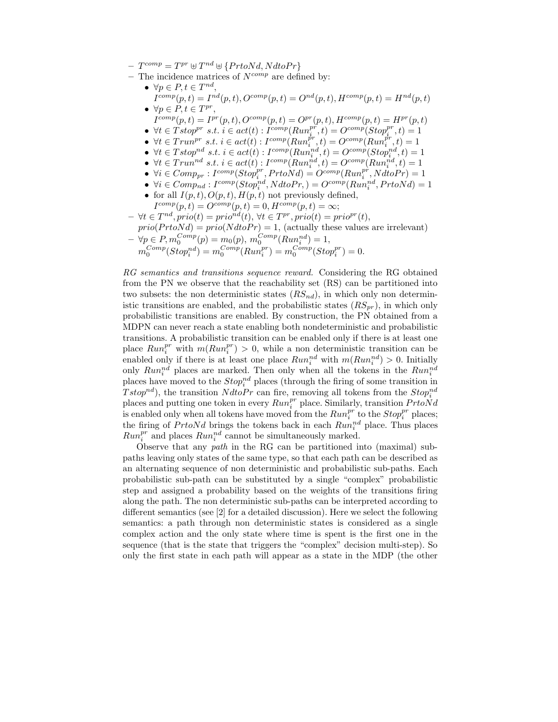- $-T^{comp} = T^{pr} \oplus T^{nd} \oplus \{PrtoNd, NdtoPr\}$
- The incidence matrices of  $N^{comp}$  are defined by:
	- $\forall p \in P, t \in T^{nd},$  $I^{comp}(p,t) = I^{nd}(p,t), O^{comp}(p,t) = O^{nd}(p,t), H^{comp}(p,t) = H^{nd}(p,t)$ •  $\forall p \in P, t \in T^{pr}$ ,
	- $I^{comp}(p, t) = I^{pr}(p, t), O^{comp}(p, t) = O^{pr}(p, t), H^{comp}(p, t) = H^{pr}(p, t)$
	- $\forall t \in Tstop^{pr} \ s.t. \ i \in act(t) : I^{comp}(Run_i^{pr}, t) = O^{comp}(Stop_i^{pr}, t) = 1$
	- $\forall t \in Trun^{pr} \; s.t. \; i \in act(t) : I^{comp}(Run^{pr}_{i}, t) = O^{comp}(Run^{pr}_{i}, t) = 1$
	- $\forall t \in Tstop^{nd} \ s.t. \ i \in act(t): I^{comp}(Run_i^{nd}, t) = O^{comp}(Stop_i^{nd}, t) = 1$
	- $\forall t \in Trun^{nd} s.t. i \in act(t) : I \longrightarrow (Itan_i^i, t) = O \longrightarrow (Stop_i^i, t) = 1$ <br>•  $\forall t \in Trun^{nd} s.t. i \in act(t) : I^{comp}(Run_i^{nd}, t) = O^{comp}(Run_i^{nd}, t) = 1$
	- $\forall i \in Comp_{pr} : I^{comp}(Stop^{pr}_{i}, ProbNd) = O^{comp}(Run^{pr}_{i}, NdtoPr) = 1$
	- $\forall i \in Comp_{nd} : I^{comp}(Stop_i^{nd}, NdtoPr) = O^{comp}(Run_i^{nd}, PrtoNd) = 1$
	- for all  $I(p,t)$ ,  $O(p,t)$ ,  $H(p,t)$  not previously defined,  $I^{comp}(p,t) = O^{comp}(p,t) = 0, H^{comp}(p,t) = \infty;$
- $\forall t \in T^{nd}, \text{prio}(t) = \text{prio}^{nd}(t), \forall t \in T^{pr}, \text{prio}(t) = \text{prio}^{pr}(t),$
- $prio(ProtoNd) = prio(NdtoPr) = 1$ , (actually these values are irrelevant)
- $-\forall p \in P, m_0^{Comp}(p) = m_0(p), m_0^{Comp}(Run_i^{nd}) = 1,$  $m_0^{Comp}(Stop_i^{nd}) = m_0^{Comp}(Run_i^{pr}) = m_0^{Comp}(Stop_i^{pr}) = 0.$
- RG semantics and transitions sequence reward. Considering the RG obtained

from the PN we observe that the reachability set (RS) can be partitioned into two subsets: the non deterministic states  $(RS_{nd})$ , in which only non deterministic transitions are enabled, and the probabilistic states  $(RS_{pr})$ , in which only probabilistic transitions are enabled. By construction, the PN obtained from a MDPN can never reach a state enabling both nondeterministic and probabilistic transitions. A probabilistic transition can be enabled only if there is at least one place  $Run_i^{pr}$  with  $m(Run_i^{pr}) > 0$ , while a non deterministic transition can be enabled only if there is at least one place  $Run_i^{nd}$  with  $m(Run_i^{nd}) > 0$ . Initially only  $Run_i^{nd}$  places are marked. Then only when all the tokens in the  $Run_i^{nd}$ places have moved to the  $Stop_i^{nd}$  places (through the firing of some transition in  $Tstop^{nd}$ , the transition  $NdtoPr$  can fire, removing all tokens from the  $Stop_i^{nd}$ places and putting one token in every  $Run_i^{pr}$  place. Similarly, transition  $Proto\ddot{N}d$ is enabled only when all tokens have moved from the  $Run_i^{pr}$  to the  $Stop_i^{pr}$  places; the firing of  $PrtoNd$  brings the tokens back in each  $Run_i^{nd}$  place. Thus places  $Run_i^{pr}$  and places  $Run_i^{nd}$  cannot be simultaneously marked.

Observe that any path in the RG can be partitioned into (maximal) subpaths leaving only states of the same type, so that each path can be described as an alternating sequence of non deterministic and probabilistic sub-paths. Each probabilistic sub-path can be substituted by a single "complex" probabilistic step and assigned a probability based on the weights of the transitions firing along the path. The non deterministic sub-paths can be interpreted according to different semantics (see [2] for a detailed discussion). Here we select the following semantics: a path through non deterministic states is considered as a single complex action and the only state where time is spent is the first one in the sequence (that is the state that triggers the "complex" decision multi-step). So only the first state in each path will appear as a state in the MDP (the other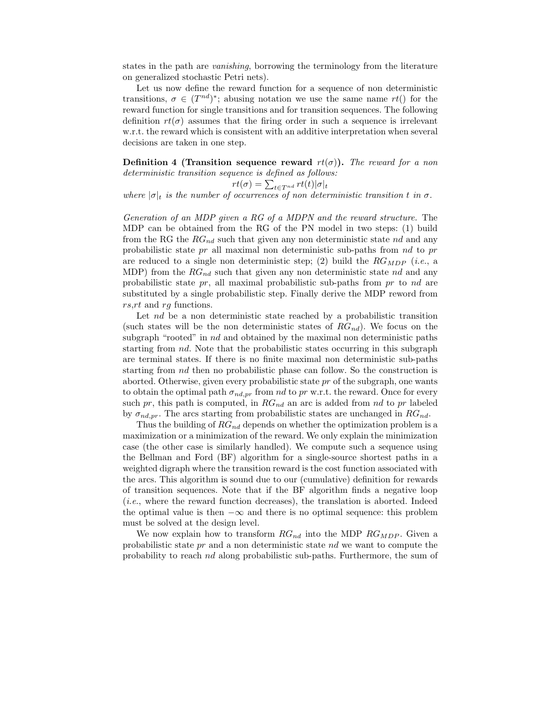states in the path are vanishing, borrowing the terminology from the literature on generalized stochastic Petri nets).

Let us now define the reward function for a sequence of non deterministic transitions,  $\sigma \in (T^{nd})^*$ ; abusing notation we use the same name  $rt()$  for the reward function for single transitions and for transition sequences. The following definition  $rt(\sigma)$  assumes that the firing order in such a sequence is irrelevant w.r.t. the reward which is consistent with an additive interpretation when several decisions are taken in one step.

Definition 4 (Transition sequence reward  $rt(\sigma)$ ). The reward for a non deterministic transition sequence is defined as follows:

 $rt(\sigma)=\sum_{t\in T^{nd}}^{'}rt(t)|\sigma|_t$ 

where  $|\sigma|_t$  is the number of occurrences of non deterministic transition t in  $\sigma$ .

Generation of an MDP given a RG of a MDPN and the reward structure. The MDP can be obtained from the RG of the PN model in two steps: (1) build from the RG the  $RG_{nd}$  such that given any non deterministic state nd and any probabilistic state pr all maximal non deterministic sub-paths from nd to pr are reduced to a single non deterministic step; (2) build the  $RG_{MDP}$  (*i.e.*, a MDP) from the  $RG_{nd}$  such that given any non deterministic state nd and any probabilistic state pr, all maximal probabilistic sub-paths from pr to nd are substituted by a single probabilistic step. Finally derive the MDP reword from rs,rt and rg functions.

Let nd be a non deterministic state reached by a probabilistic transition (such states will be the non deterministic states of  $RG_{nd}$ ). We focus on the subgraph "rooted" in nd and obtained by the maximal non deterministic paths starting from nd. Note that the probabilistic states occurring in this subgraph are terminal states. If there is no finite maximal non deterministic sub-paths starting from nd then no probabilistic phase can follow. So the construction is aborted. Otherwise, given every probabilistic state pr of the subgraph, one wants to obtain the optimal path  $\sigma_{nd,pr}$  from nd to pr w.r.t. the reward. Once for every such pr, this path is computed, in  $RG_{nd}$  an arc is added from nd to pr labeled by  $\sigma_{nd,pr}$ . The arcs starting from probabilistic states are unchanged in  $RG_{nd}$ .

Thus the building of  $RG_{nd}$  depends on whether the optimization problem is a maximization or a minimization of the reward. We only explain the minimization case (the other case is similarly handled). We compute such a sequence using the Bellman and Ford (BF) algorithm for a single-source shortest paths in a weighted digraph where the transition reward is the cost function associated with the arcs. This algorithm is sound due to our (cumulative) definition for rewards of transition sequences. Note that if the BF algorithm finds a negative loop  $(i.e., where the reward function decreases), the translation is aborted. Indeed$ the optimal value is then  $-\infty$  and there is no optimal sequence: this problem must be solved at the design level.

We now explain how to transform  $RG_{nd}$  into the MDP  $RG_{MDP}$ . Given a probabilistic state  $pr$  and a non deterministic state  $nd$  we want to compute the probability to reach nd along probabilistic sub-paths. Furthermore, the sum of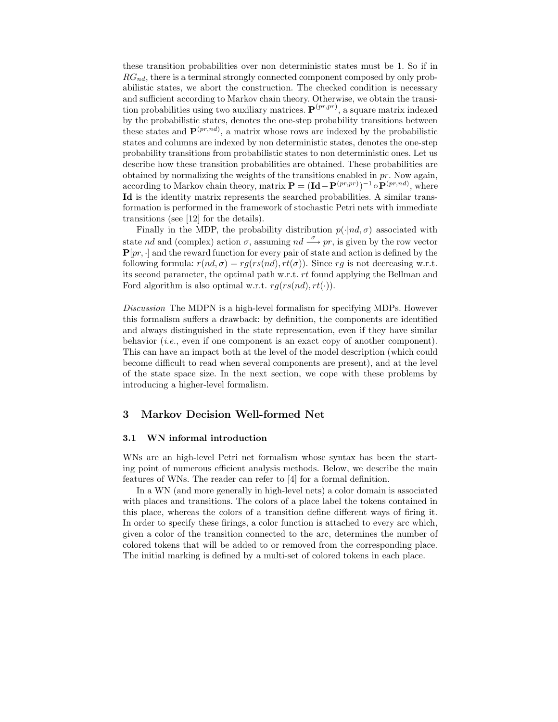these transition probabilities over non deterministic states must be 1. So if in  $RG_{nd}$ , there is a terminal strongly connected component composed by only probabilistic states, we abort the construction. The checked condition is necessary and sufficient according to Markov chain theory. Otherwise, we obtain the transition probabilities using two auxiliary matrices.  $\mathbf{P}^{(pr,pr)}$ , a square matrix indexed by the probabilistic states, denotes the one-step probability transitions between these states and  $\mathbf{P}^{(pr,nd)}$ , a matrix whose rows are indexed by the probabilistic states and columns are indexed by non deterministic states, denotes the one-step probability transitions from probabilistic states to non deterministic ones. Let us describe how these transition probabilities are obtained. These probabilities are obtained by normalizing the weights of the transitions enabled in  $pr$ . Now again, according to Markov chain theory, matrix  $\mathbf{P} = (\mathbf{Id} - \mathbf{P}^{(pr,pr)})^{-1} \circ \mathbf{P}^{(pr,nd)}$ , where Id is the identity matrix represents the searched probabilities. A similar transformation is performed in the framework of stochastic Petri nets with immediate transitions (see [12] for the details).

Finally in the MDP, the probability distribution  $p(\cdot|nd, \sigma)$  associated with state nd and (complex) action  $\sigma$ , assuming  $nd \stackrel{\sigma}{\longrightarrow} pr$ , is given by the row vector  ${\bf P}[pr, \cdot]$  and the reward function for every pair of state and action is defined by the following formula:  $r(nd, \sigma) = rq(rs(nd), rt(\sigma))$ . Since rq is not decreasing w.r.t. its second parameter, the optimal path w.r.t. rt found applying the Bellman and Ford algorithm is also optimal w.r.t.  $rg(rs(nd), rt(\cdot))$ .

Discussion The MDPN is a high-level formalism for specifying MDPs. However this formalism suffers a drawback: by definition, the components are identified and always distinguished in the state representation, even if they have similar behavior  $(i.e., even if one component is an exact copy of another component).$ This can have an impact both at the level of the model description (which could become difficult to read when several components are present), and at the level of the state space size. In the next section, we cope with these problems by introducing a higher-level formalism.

# 3 Markov Decision Well-formed Net

### 3.1 WN informal introduction

WNs are an high-level Petri net formalism whose syntax has been the starting point of numerous efficient analysis methods. Below, we describe the main features of WNs. The reader can refer to [4] for a formal definition.

In a WN (and more generally in high-level nets) a color domain is associated with places and transitions. The colors of a place label the tokens contained in this place, whereas the colors of a transition define different ways of firing it. In order to specify these firings, a color function is attached to every arc which, given a color of the transition connected to the arc, determines the number of colored tokens that will be added to or removed from the corresponding place. The initial marking is defined by a multi-set of colored tokens in each place.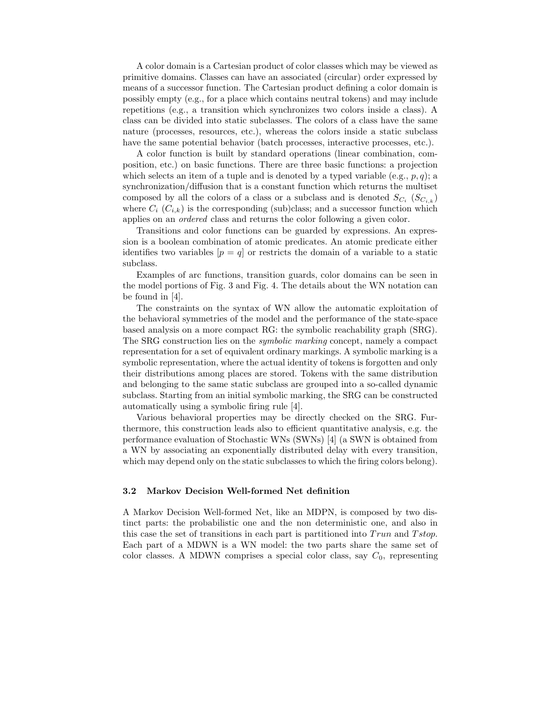A color domain is a Cartesian product of color classes which may be viewed as primitive domains. Classes can have an associated (circular) order expressed by means of a successor function. The Cartesian product defining a color domain is possibly empty (e.g., for a place which contains neutral tokens) and may include repetitions (e.g., a transition which synchronizes two colors inside a class). A class can be divided into static subclasses. The colors of a class have the same nature (processes, resources, etc.), whereas the colors inside a static subclass have the same potential behavior (batch processes, interactive processes, etc.).

A color function is built by standard operations (linear combination, composition, etc.) on basic functions. There are three basic functions: a projection which selects an item of a tuple and is denoted by a typed variable (e.g.,  $p, q$ ); a synchronization/diffusion that is a constant function which returns the multiset composed by all the colors of a class or a subclass and is denoted  $S_{C_i}$   $(S_{C_{i,k}})$ where  $C_i$   $(C_{i,k})$  is the corresponding (sub)class; and a successor function which applies on an ordered class and returns the color following a given color.

Transitions and color functions can be guarded by expressions. An expression is a boolean combination of atomic predicates. An atomic predicate either identifies two variables  $[p = q]$  or restricts the domain of a variable to a static subclass.

Examples of arc functions, transition guards, color domains can be seen in the model portions of Fig. 3 and Fig. 4. The details about the WN notation can be found in [4].

The constraints on the syntax of WN allow the automatic exploitation of the behavioral symmetries of the model and the performance of the state-space based analysis on a more compact RG: the symbolic reachability graph (SRG). The SRG construction lies on the symbolic marking concept, namely a compact representation for a set of equivalent ordinary markings. A symbolic marking is a symbolic representation, where the actual identity of tokens is forgotten and only their distributions among places are stored. Tokens with the same distribution and belonging to the same static subclass are grouped into a so-called dynamic subclass. Starting from an initial symbolic marking, the SRG can be constructed automatically using a symbolic firing rule [4].

Various behavioral properties may be directly checked on the SRG. Furthermore, this construction leads also to efficient quantitative analysis, e.g. the performance evaluation of Stochastic WNs (SWNs) [4] (a SWN is obtained from a WN by associating an exponentially distributed delay with every transition, which may depend only on the static subclasses to which the firing colors belong).

## 3.2 Markov Decision Well-formed Net definition

A Markov Decision Well-formed Net, like an MDPN, is composed by two distinct parts: the probabilistic one and the non deterministic one, and also in this case the set of transitions in each part is partitioned into  $Trun$  and  $Tstop$ . Each part of a MDWN is a WN model: the two parts share the same set of color classes. A MDWN comprises a special color class, say  $C_0$ , representing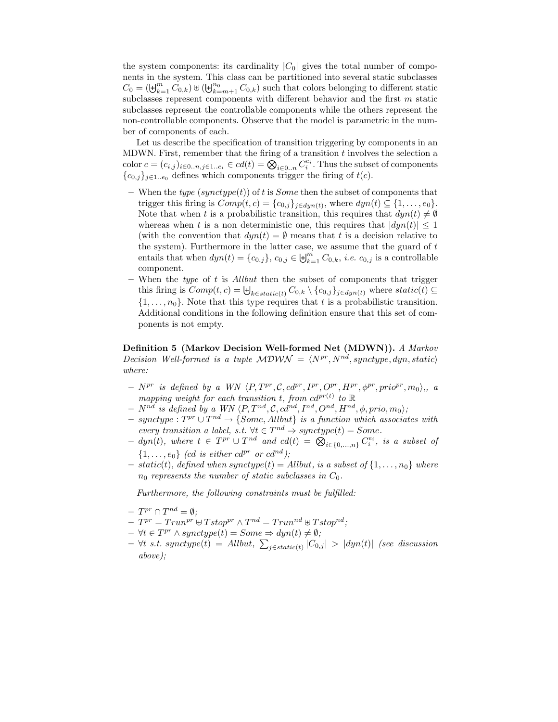the system components: its cardinality  $|C_0|$  gives the total number of components in the system. This class can be partitioned into several static subclasses  $C_0 = (\biguplus_{k=1}^m C_{0,k}) \uplus (\biguplus_{k=m+1}^{n_0} C_{0,k})$  such that colors belonging to different static subclasses represent components with different behavior and the first  $m$  static subclasses represent the controllable components while the others represent the non-controllable components. Observe that the model is parametric in the number of components of each.

Let us describe the specification of transition triggering by components in an MDWN. First, remember that the firing of a transition  $t$  involves the selection a color  $c = (c_{i,j})_{i \in 0..n, j \in 1..e_i} \in cd(t) = \bigotimes_{i \in 0..n} C_i^{e_i}$ . Thus the subset of components  ${c_{0,j}}_{i\in{1..e_0}}$  defines which components trigger the firing of  $t(c)$ .

- When the type (synctype(t)) of t is Some then the subset of components that trigger this firing is  $Comp(t, c) = {c_{0,j}}_{j \in dyn(t)}$ , where  $dyn(t) \subseteq {1, ..., e_0}$ . Note that when t is a probabilistic transition, this requires that  $dyn(t) \neq \emptyset$ whereas when t is a non deterministic one, this requires that  $|dyn(t)| \leq 1$ (with the convention that  $dyn(t) = \emptyset$  means that t is a decision relative to the system). Furthermore in the latter case, we assume that the guard of  $t$ entails that when  $dyn(t) = \{c_{0,j}\}, c_{0,j} \in \biguplus_{k=1}^{m} C_{0,k}$ , *i.e.*  $c_{0,j}$  is a controllable component.
- When the type of  $t$  is *Allbut* then the subset of components that trigger this firing is  $Comp(t, c) = \biguplus_{k \in static(t)} C_{0,k} \setminus \{c_{0,j}\}_{j \in dyn(t)}$  where  $static(t) \subseteq$  $\{1, \ldots, n_0\}$ . Note that this type requires that t is a probabilistic transition. Additional conditions in the following definition ensure that this set of components is not empty.

Definition 5 (Markov Decision Well-formed Net (MDWN)). A Markov Decision Well-formed is a tuple  $MDWN = \langle N^{pr}, N^{nd}, syntype, dyn, static \rangle$ where:

- $N^{pr}$  is defined by a WN  $\langle P, T^{pr}, \mathcal{C}, c d^{pr}, I^{pr}, O^{pr}, H^{pr}, \phi^{pr}, prio^{pr}, m_0 \rangle$ ,, a mapping weight for each transition t, from  $cd^{pr(t)}$  to  $\mathbb R$
- $N^{nd}$  is defined by a WN  $\langle P, T^{nd}, \mathcal{C}, cd^{nd}, I^{nd}, O^{nd}, H^{nd}, \phi, prio, m_0 \rangle;$
- $-$  synctype:  $T^{pr} \cup T^{nd} \rightarrow \{Some, Allbut\}$  is a function which associates with every transition a label, s.t.  $\forall t \in T^{nd} \Rightarrow syntype(t) = Some.$
- $-dyn(t)$ , where  $t \in T^{pr} \cup T^{nd}$  and  $cd(t) = \bigotimes_{i \in \{0, ..., n\}} C_i^{e_i}$ , is a subset of  $\{1,\ldots,e_0\}$  (cd is either cd<sup>pr</sup> or cd<sup>nd</sup>);
- $-$  static(t), defined when synctype(t) = Allbut, is a subset of  $\{1,\ldots,n_0\}$  where  $n_0$  represents the number of static subclasses in  $C_0$ .

Furthermore, the following constraints must be fulfilled:

- $T^{pr} \cap T^{nd} = \emptyset;$
- $T^{pr} = Trun^{pr} \oplus Tstop^{pr} \wedge T^{nd} = Trun^{nd} \oplus Tstop^{nd};$
- $\forall t \in T^{pr} \wedge synctype(t) = Some \Rightarrow dyn(t) \neq \emptyset;$
- $\forall t \text{ s.t.} \text{ syntype}(t) = \text{Allbut}, \sum_{j \in static(t)} |C_{0,j}| > |dyn(t)| \text{ (see discussion)}$ above);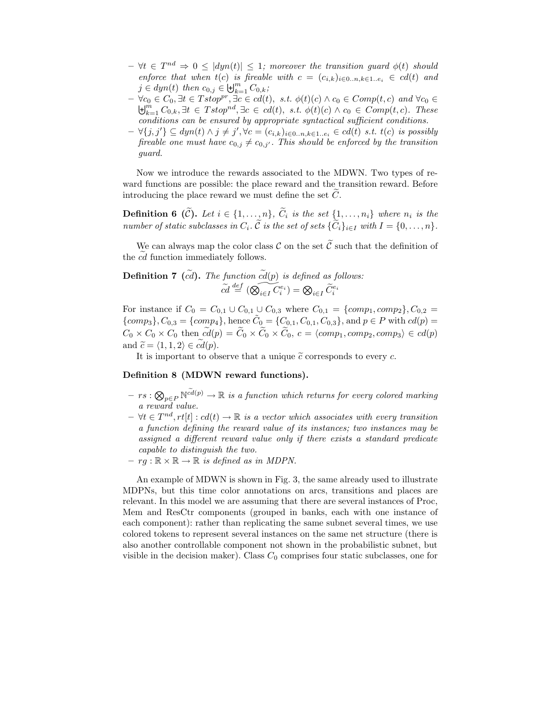- $-\forall t \in T^{nd} \Rightarrow 0 \le |dyn(t)| \le 1$ ; moreover the transition guard  $\phi(t)$  should enforce that when  $t(c)$  is fireable with  $c = (c_{i,k})_{i \in 0..n, k \in 1..e_i} \in cd(t)$  and  $j \in dyn(t)$  then  $c_{0,j} \in \biguplus_{k=1}^m C_{0,k};$
- $\forall c_0 \in C_0, \exists t \in Tstop^{pr}, \exists c \in cd(t), \ s.t. \ \phi(t)(c) \land c_0 \in Comp(t, c) \ and \ \forall c_0 \in \biguplus_{k=1}^m C_{0,k}, \exists t \in Tstop^{nd}, \exists c \in cd(t), \ s.t. \ \phi(t)(c) \land c_0 \in Comp(t, c). \ These$ conditions can be ensured by appropriate syntactical sufficient conditions.
- $-\forall \{j, j'\} \subseteq dyn(t) \land j \neq j', \forall c = (c_{i,k})_{i \in 0..n, k \in 1..e_i} \in cd(t) \text{ s.t. } t(c) \text{ is possibly}$ fireable one must have  $c_{0,j} \neq c_{0,j'}$ . This should be enforced by the transition guard.

Now we introduce the rewards associated to the MDWN. Two types of reward functions are possible: the place reward and the transition reward. Before introducing the place reward we must define the set  $\tilde{C}$ .

**Definition 6** ( $\widetilde{C}$ ). Let  $i \in \{1, \ldots, n\}$ ,  $\widetilde{C}_i$  is the set  $\{1, \ldots, n_i\}$  where  $n_i$  is the number of static subclasses in  $C_i$ .  $\tilde{C}$  is the set of sets  $\{ \tilde{C}_i \}_{i \in I}$  with  $I = \{0, \ldots, n\}$ .

We can always map the color class  $\mathcal C$  on the set  $\widetilde{\mathcal C}$  such that the definition of the *cd* function immediately follows.

**Definition 7** (cd). The function cd(p) is defined as follows:  $\widetilde{cd} \stackrel{def}{=} (\widetilde{\bigotimes_{i \in I} C_i^{e_i}}) = \bigotimes_{i \in I} \widetilde{C}_i^{e_i}$ 

For instance if  $C_0 = C_{0,1} \cup C_{0,1} \cup C_{0,3}$  where  $C_{0,1} = \{comp_1, comp_2\}, C_{0,2} =$  ${comp_3}, C_{0,3} = {comp_4}, \text{ hence } \tilde{C}_0 = {C_{0,1}, C_{0,1}, C_{0,3}}, \text{ and } p \in P \text{ with } cd(p) =$  $C_0 \times C_0 \times C_0$  then  $\widetilde{cd}(p) = \widetilde{C}_0 \times \widetilde{C}_0 \times \widetilde{C}_0$ ,  $c = \langle comp_1, comp_2, comp_3 \rangle \in cd(p)$ and  $\widetilde{c} = \langle 1, 1, 2 \rangle \in \widetilde{cd}(p)$ .

It is important to observe that a unique  $\tilde{c}$  corresponds to every c.

## Definition 8 (MDWN reward functions).

- $-rs:\bigotimes_{p\in P}\mathbb{N}^{\widetilde{cd}(p)}\to\mathbb{R}$  is a function which returns for every colored marking a reward value.
- $-\forall t \in T^{nd}, rt[t] : cd(t) \rightarrow \mathbb{R}$  is a vector which associates with every transition a function defining the reward value of its instances; two instances may be assigned a different reward value only if there exists a standard predicate capable to distinguish the two.
- $rg : \mathbb{R} \times \mathbb{R} \to \mathbb{R}$  is defined as in MDPN.

An example of MDWN is shown in Fig. 3, the same already used to illustrate MDPNs, but this time color annotations on arcs, transitions and places are relevant. In this model we are assuming that there are several instances of Proc, Mem and ResCtr components (grouped in banks, each with one instance of each component): rather than replicating the same subnet several times, we use colored tokens to represent several instances on the same net structure (there is also another controllable component not shown in the probabilistic subnet, but visible in the decision maker). Class  $C_0$  comprises four static subclasses, one for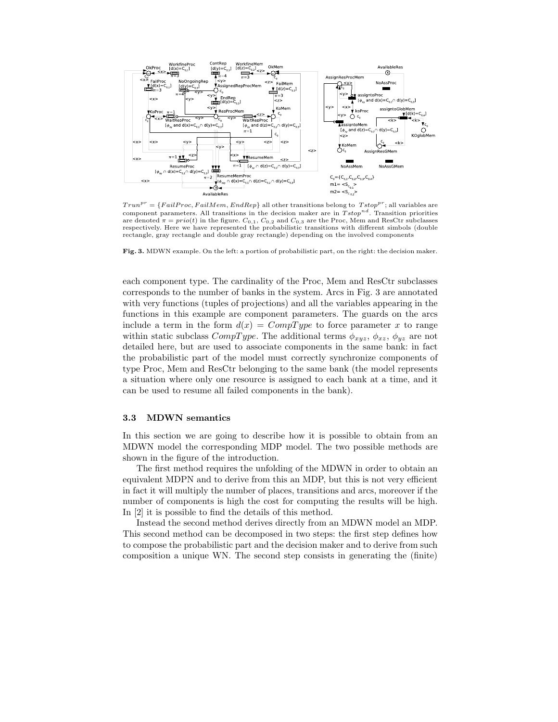

 $Trun^{pr} = {FailProc, FailMem, EndRep}$  all other transitions belong to  $Tstop^{pr}$ ; all variables are component parameters. All transitions in the decision maker are in  $Tstop^{nd}$ . Transition priorities are denoted  $\pi = prior(t)$  in the figure.  $C_{0,1}$ ,  $C_{0,2}$  and  $C_{0,3}$  are the Proc, Mem and ResCtr subclasses respectively. Here we have represented the probabilistic transitions with different simbols (double rectangle, gray rectangle and double gray rectangle) depending on the involved components

Fig. 3. MDWN example. On the left: a portion of probabilistic part, on the right: the decision maker.

each component type. The cardinality of the Proc, Mem and ResCtr subclasses corresponds to the number of banks in the system. Arcs in Fig. 3 are annotated with very functions (tuples of projections) and all the variables appearing in the functions in this example are component parameters. The guards on the arcs include a term in the form  $d(x) = CompType$  to force parameter x to range within static subclass  $CompType$ . The additional terms  $\phi_{xyz}, \phi_{xz}, \phi_{yz}$  are not detailed here, but are used to associate components in the same bank: in fact the probabilistic part of the model must correctly synchronize components of type Proc, Mem and ResCtr belonging to the same bank (the model represents a situation where only one resource is assigned to each bank at a time, and it can be used to resume all failed components in the bank).

#### 3.3 MDWN semantics

In this section we are going to describe how it is possible to obtain from an MDWN model the corresponding MDP model. The two possible methods are shown in the figure of the introduction.

The first method requires the unfolding of the MDWN in order to obtain an equivalent MDPN and to derive from this an MDP, but this is not very efficient in fact it will multiply the number of places, transitions and arcs, moreover if the number of components is high the cost for computing the results will be high. In [2] it is possible to find the details of this method.

Instead the second method derives directly from an MDWN model an MDP. This second method can be decomposed in two steps: the first step defines how to compose the probabilistic part and the decision maker and to derive from such composition a unique WN. The second step consists in generating the (finite)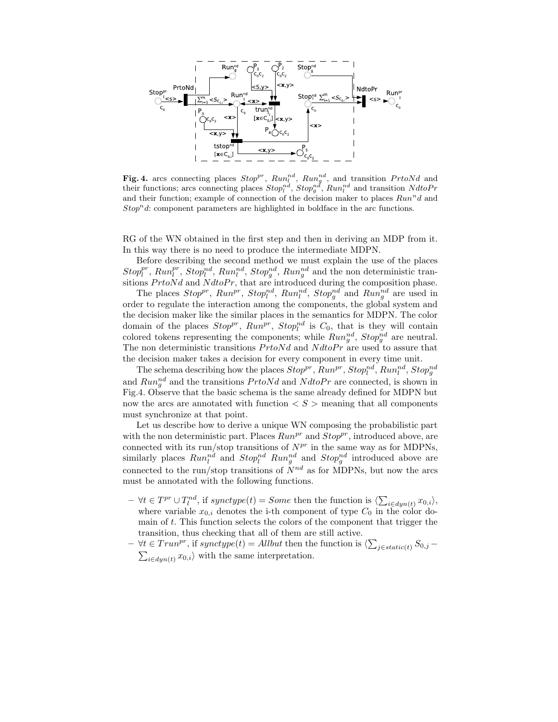

Fig. 4. arcs connecting places  $Stop^{pr}$ ,  $Run_l^{nd}$ ,  $Run_g^{nd}$ , and transition  $ProtoNd$  and their functions; arcs connecting places  $Stop_q^{nd}$ ,  $Stop_q^{nd}$ ,  $Run_l^{nd}$  and transition  $NdtoPr$ and their function; example of connection of the decision maker to places  $Run<sup>n</sup>d$  and  $Stop<sup>n</sup>d$ : component parameters are highlighted in boldface in the arc functions.

RG of the WN obtained in the first step and then in deriving an MDP from it. In this way there is no need to produce the intermediate MDPN.

Before describing the second method we must explain the use of the places  $Stop_l^{pr}, Run_l^{pr}, Stop_l^{nd}, Run_l^{nd}, Stop_g^{nd}, Run_l^{nd}$  and the non deterministic transitions  $ProtoNd$  and  $NdtoPr$ , that are introduced during the composition phase.

The places  $Stop^{pr}$ ,  $Run^{pr}$ ,  $Stop^{nd}$ ,  $Run^{nd}$ ,  $Stop^{nd}$  and  $Run^{nd}$  are used in order to regulate the interaction among the components, the global system and the decision maker like the similar places in the semantics for MDPN. The color domain of the places  $Stop^{pr}$ ,  $Run^{pr}$ ,  $Stop^{nd}$  is  $C_0$ , that is they will contain colored tokens representing the components; while  $Run_g^{nd}$ ,  $Stop_g^{nd}$  are neutral. The non deterministic transitions  $PrtoNd$  and  $NdtoPr$  are used to assure that the decision maker takes a decision for every component in every time unit.

The schema describing how the places  $Stop^{pr}, Run^{pr}, Stop^{nd}_l, Run^{nd}_l, Stop^{nd}_g$ and  $Run_g^{nd}$  and the transitions  $ProtoNd$  and  $NdtoPr$  are connected, is shown in Fig.4. Observe that the basic schema is the same already defined for MDPN but now the arcs are annotated with function  $\langle S \rangle$  meaning that all components must synchronize at that point.

Let us describe how to derive a unique WN composing the probabilistic part with the non deterministic part. Places  $Run^{pr}$  and  $Stop^{pr}$ , introduced above, are connected with its run/stop transitions of  $N^{pr}$  in the same way as for MDPNs, similarly places  $Run_l^{nd}$  and  $Stop_l^{nd}$   $Run_g^{nd}$  and  $Stop_g^{nd}$  introduced above are connected to the run/stop transitions of  $N^{nd}$  as for MDPNs, but now the arcs must be annotated with the following functions.

- $-\forall t \in T^{pr} \cup T^{nd}_l$ , if  $synctype(t) = Some$  then the function is  $\langle \sum_{i \in dyn(t)} x_{0,i} \rangle$ , where variable  $x_{0,i}$  denotes the i-th component of type  $C_0$  in the color domain of  $t$ . This function selects the colors of the component that trigger the transition, thus checking that all of them are still active.
- $\forall t \in Trun^{pr}$ , if synctype(t) = Allbut then the function is  $\sum_{j \in static(t)} S_{0,j} \sum_{i \in s} S_{i,j}$  with the same interpretation  $\langle i \in dyn(t) \, x_{0,i} \rangle$  with the same interpretation.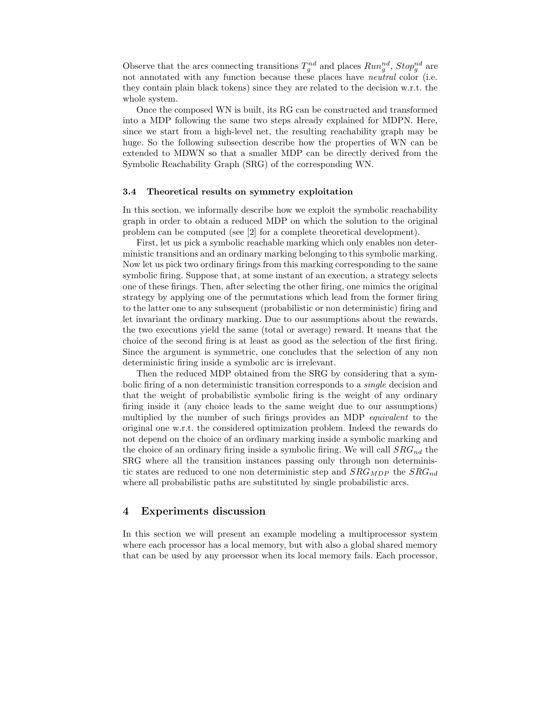Observe that the arcs connecting transitions  $T_g^{nd}$  and places  $Run_g^{nd}$ ,  $Stop_g^{nd}$  are not annotated with any function because these places have neutral color (i.e. they contain plain black tokens) since they are related to the decision w.r.t. the whole system.

Once the composed WN is built, its RG can be constructed and transformed into a MDP following the same two steps already explained for MDPN. Here, since we start from a high-level net, the resulting reachability graph may be huge. So the following subsection describe how the properties of WN can be extended to MDWN so that a smaller MDP can be directly derived from the Symbolic Reachability Graph (SRG) of the corresponding WN.

## 3.4 Theoretical results on symmetry exploitation

In this section, we informally describe how we exploit the symbolic reachability graph in order to obtain a reduced MDP on which the solution to the original problem can be computed (see [2] for a complete theoretical development).

First, let us pick a symbolic reachable marking which only enables non deterministic transitions and an ordinary marking belonging to this symbolic marking. Now let us pick two ordinary firings from this marking corresponding to the same symbolic firing. Suppose that, at some instant of an execution, a strategy selects one of these firings. Then, after selecting the other firing, one mimics the original strategy by applying one of the permutations which lead from the former firing to the latter one to any subsequent (probabilistic or non deterministic) firing and let invariant the ordinary marking. Due to our assumptions about the rewards, the two executions yield the same (total or average) reward. It means that the choice of the second firing is at least as good as the selection of the first firing. Since the argument is symmetric, one concludes that the selection of any non deterministic firing inside a symbolic arc is irrelevant.

Then the reduced MDP obtained from the SRG by considering that a symbolic firing of a non deterministic transition corresponds to a single decision and that the weight of probabilistic symbolic firing is the weight of any ordinary firing inside it (any choice leads to the same weight due to our assumptions) multiplied by the number of such firings provides an MDP equivalent to the original one w.r.t. the considered optimization problem. Indeed the rewards do not depend on the choice of an ordinary marking inside a symbolic marking and the choice of an ordinary firing inside a symbolic firing. We will call  $SRG_{nd}$  the SRG where all the transition instances passing only through non deterministic states are reduced to one non deterministic step and  $SRG_{MDP}$  the  $SRG_{nd}$ where all probabilistic paths are substituted by single probabilistic arcs.

## 4 Experiments discussion

In this section we will present an example modeling a multiprocessor system where each processor has a local memory, but with also a global shared memory that can be used by any processor when its local memory fails. Each processor,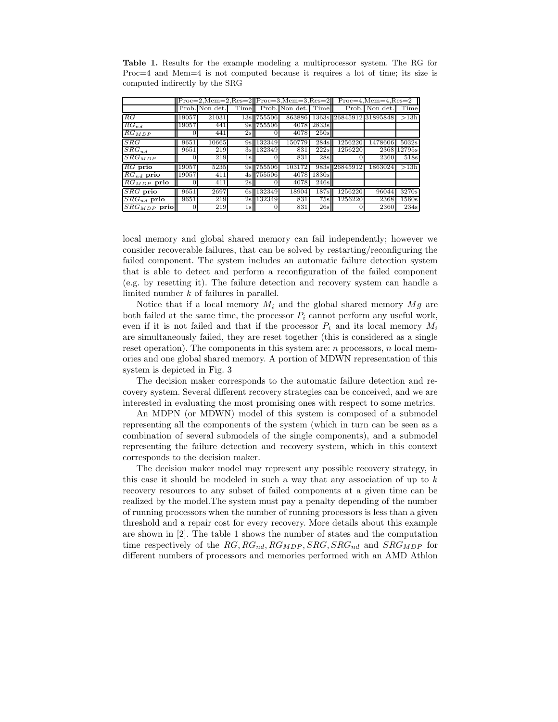|                        |       |                |      | $Proc=2, Mem=2, Res=2$ $Proc=3, Mem=3, Res=2$ |                |       | $Proc=4$ , Mem=4, Res=2 |          |        |
|------------------------|-------|----------------|------|-----------------------------------------------|----------------|-------|-------------------------|----------|--------|
|                        |       | Prob. Non det. | Time |                                               | Prob. Non det. | Time  | Prob.                   | Non det. | Time   |
| RG                     | 19057 | 21031          |      | 13s 755506                                    | 863886         |       | 1363s 26845912 31895848 |          | >13h   |
| $\overline{R}G_{nd}$   | 19057 | 441            |      | 9s 755506                                     | 4078           | 2833s |                         |          |        |
| $\overline{RG}_{MDP}$  |       | 441            | 2s   |                                               | 4078           | 250s  |                         |          |        |
| SRG                    | 9651  | 10665          |      | 9s 132349                                     | 150779         | 284s  | 1256220                 | 1478606  | 5032s  |
| $\overline{SRG_{nd}}$  | 9651  | 219            |      | 3s 132349                                     | 831            | 222s  | 1256220                 | 2368     | 12795s |
| $\overline{S}RG_{MDP}$ |       | 219            | 1s I | 0                                             | 831            | 28s   |                         | 2360     | 518s   |
| $RG$ prio              | 19057 | 5235           |      | 9s 755506                                     | 103172         |       | 983s 26845912           | 1863024  | >13h   |
| $RG_{nd}$ prio         | 19057 | 411            |      | 4s 755506                                     | 4078           | 1830s |                         |          |        |
| $RG_{MDP}$ prio        |       | 411            | 2s   |                                               | 4078           | 246s  |                         |          |        |
| $\overline{SRG}$ prio  | 9651  | 2697           |      | 6s 132349                                     | 18904          | 187s  | 1256220                 | 96044    | 3270s  |
| $SRG_{nd}$ prio        | 9651  | 219            |      | 2s 132349                                     | 831            | 75s   | 1256220                 | 2368     | 1560s  |
| $SRG_{MDP}$ prio       |       | 219            | 1s   | 0                                             | 831            | 26s   |                         | 2360     | 234s   |

Table 1. Results for the example modeling a multiprocessor system. The RG for Proc=4 and Mem=4 is not computed because it requires a lot of time; its size is computed indirectly by the SRG

local memory and global shared memory can fail independently; however we consider recoverable failures, that can be solved by restarting/reconfiguring the failed component. The system includes an automatic failure detection system that is able to detect and perform a reconfiguration of the failed component (e.g. by resetting it). The failure detection and recovery system can handle a limited number k of failures in parallel.

Notice that if a local memory  $M_i$  and the global shared memory  $M_g$  are both failed at the same time, the processor  $P_i$  cannot perform any useful work, even if it is not failed and that if the processor  $P_i$  and its local memory  $M_i$ are simultaneously failed, they are reset together (this is considered as a single reset operation). The components in this system are:  $n$  processors,  $n$  local memories and one global shared memory. A portion of MDWN representation of this system is depicted in Fig. 3

The decision maker corresponds to the automatic failure detection and recovery system. Several different recovery strategies can be conceived, and we are interested in evaluating the most promising ones with respect to some metrics.

An MDPN (or MDWN) model of this system is composed of a submodel representing all the components of the system (which in turn can be seen as a combination of several submodels of the single components), and a submodel representing the failure detection and recovery system, which in this context corresponds to the decision maker.

The decision maker model may represent any possible recovery strategy, in this case it should be modeled in such a way that any association of up to  $k$ recovery resources to any subset of failed components at a given time can be realized by the model.The system must pay a penalty depending of the number of running processors when the number of running processors is less than a given threshold and a repair cost for every recovery. More details about this example are shown in [2]. The table 1 shows the number of states and the computation time respectively of the  $RG, RG_{nd}, RG_{MDP}, SRG, SRG_{nd}$  and  $SRG_{MDP}$  for different numbers of processors and memories performed with an AMD Athlon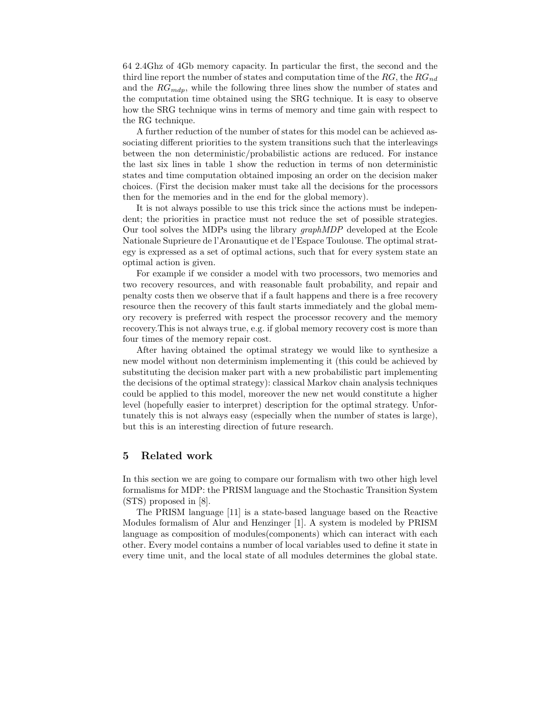64 2.4Ghz of 4Gb memory capacity. In particular the first, the second and the third line report the number of states and computation time of the  $RG$ , the  $RG_{nd}$ and the  $RG_{mdp}$ , while the following three lines show the number of states and the computation time obtained using the SRG technique. It is easy to observe how the SRG technique wins in terms of memory and time gain with respect to the RG technique.

A further reduction of the number of states for this model can be achieved associating different priorities to the system transitions such that the interleavings between the non deterministic/probabilistic actions are reduced. For instance the last six lines in table 1 show the reduction in terms of non deterministic states and time computation obtained imposing an order on the decision maker choices. (First the decision maker must take all the decisions for the processors then for the memories and in the end for the global memory).

It is not always possible to use this trick since the actions must be independent; the priorities in practice must not reduce the set of possible strategies. Our tool solves the MDPs using the library graphMDP developed at the Ecole Nationale Suprieure de l'Aronautique et de l'Espace Toulouse. The optimal strategy is expressed as a set of optimal actions, such that for every system state an optimal action is given.

For example if we consider a model with two processors, two memories and two recovery resources, and with reasonable fault probability, and repair and penalty costs then we observe that if a fault happens and there is a free recovery resource then the recovery of this fault starts immediately and the global memory recovery is preferred with respect the processor recovery and the memory recovery.This is not always true, e.g. if global memory recovery cost is more than four times of the memory repair cost.

After having obtained the optimal strategy we would like to synthesize a new model without non determinism implementing it (this could be achieved by substituting the decision maker part with a new probabilistic part implementing the decisions of the optimal strategy): classical Markov chain analysis techniques could be applied to this model, moreover the new net would constitute a higher level (hopefully easier to interpret) description for the optimal strategy. Unfortunately this is not always easy (especially when the number of states is large), but this is an interesting direction of future research.

## 5 Related work

In this section we are going to compare our formalism with two other high level formalisms for MDP: the PRISM language and the Stochastic Transition System (STS) proposed in [8].

The PRISM language [11] is a state-based language based on the Reactive Modules formalism of Alur and Henzinger [1]. A system is modeled by PRISM language as composition of modules(components) which can interact with each other. Every model contains a number of local variables used to define it state in every time unit, and the local state of all modules determines the global state.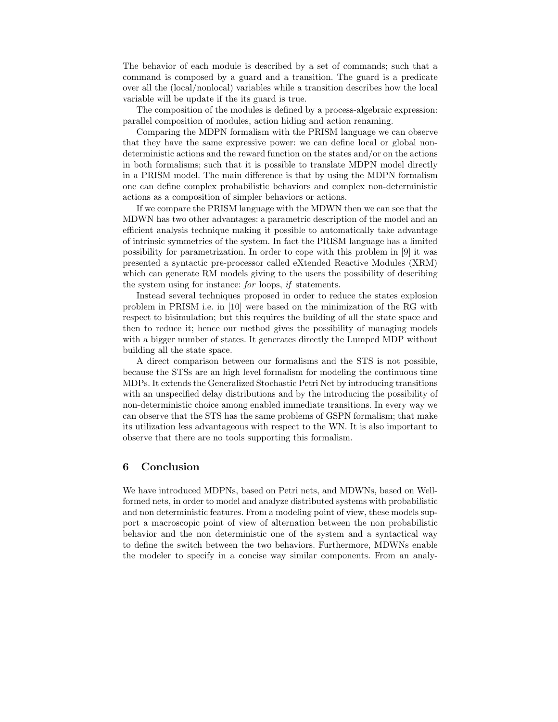The behavior of each module is described by a set of commands; such that a command is composed by a guard and a transition. The guard is a predicate over all the (local/nonlocal) variables while a transition describes how the local variable will be update if the its guard is true.

The composition of the modules is defined by a process-algebraic expression: parallel composition of modules, action hiding and action renaming.

Comparing the MDPN formalism with the PRISM language we can observe that they have the same expressive power: we can define local or global nondeterministic actions and the reward function on the states and/or on the actions in both formalisms; such that it is possible to translate MDPN model directly in a PRISM model. The main difference is that by using the MDPN formalism one can define complex probabilistic behaviors and complex non-deterministic actions as a composition of simpler behaviors or actions.

If we compare the PRISM language with the MDWN then we can see that the MDWN has two other advantages: a parametric description of the model and an efficient analysis technique making it possible to automatically take advantage of intrinsic symmetries of the system. In fact the PRISM language has a limited possibility for parametrization. In order to cope with this problem in [9] it was presented a syntactic pre-processor called eXtended Reactive Modules (XRM) which can generate RM models giving to the users the possibility of describing the system using for instance: for loops, if statements.

Instead several techniques proposed in order to reduce the states explosion problem in PRISM i.e. in [10] were based on the minimization of the RG with respect to bisimulation; but this requires the building of all the state space and then to reduce it; hence our method gives the possibility of managing models with a bigger number of states. It generates directly the Lumped MDP without building all the state space.

A direct comparison between our formalisms and the STS is not possible, because the STSs are an high level formalism for modeling the continuous time MDPs. It extends the Generalized Stochastic Petri Net by introducing transitions with an unspecified delay distributions and by the introducing the possibility of non-deterministic choice among enabled immediate transitions. In every way we can observe that the STS has the same problems of GSPN formalism; that make its utilization less advantageous with respect to the WN. It is also important to observe that there are no tools supporting this formalism.

## 6 Conclusion

We have introduced MDPNs, based on Petri nets, and MDWNs, based on Wellformed nets, in order to model and analyze distributed systems with probabilistic and non deterministic features. From a modeling point of view, these models support a macroscopic point of view of alternation between the non probabilistic behavior and the non deterministic one of the system and a syntactical way to define the switch between the two behaviors. Furthermore, MDWNs enable the modeler to specify in a concise way similar components. From an analy